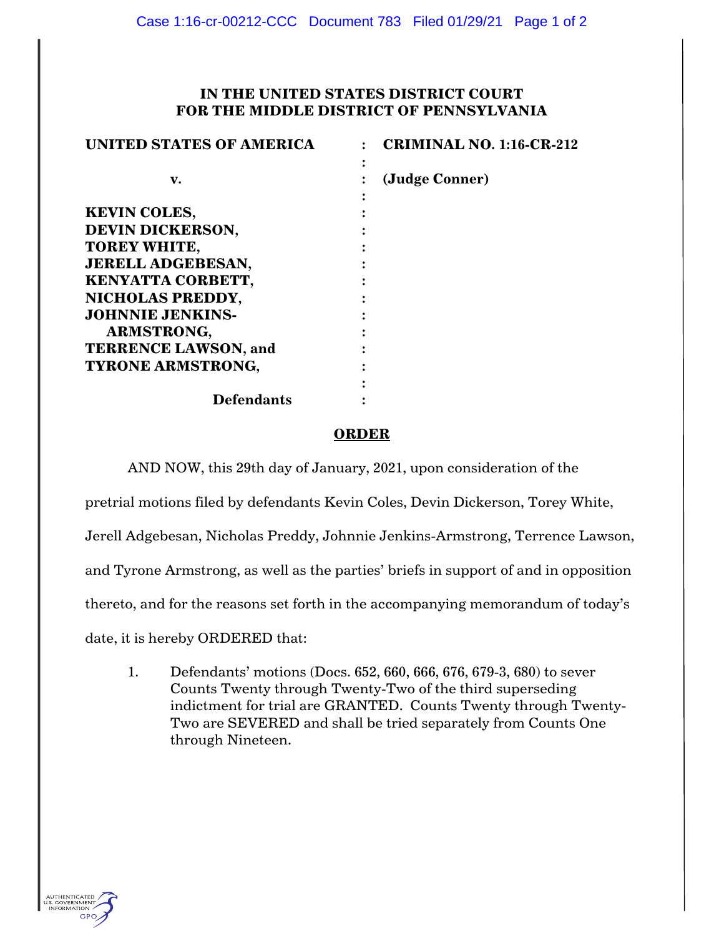## **IN THE UNITED STATES DISTRICT COURT FOR THE MIDDLE DISTRICT OF PENNSYLVANIA**

| <b>UNITED STATES OF AMERICA</b> | <b>CRIMINAL NO. 1:16-CR-212</b> |
|---------------------------------|---------------------------------|
|                                 |                                 |
| v.                              | (Judge Conner)                  |
|                                 |                                 |
| <b>KEVIN COLES,</b>             |                                 |
| <b>DEVIN DICKERSON,</b>         |                                 |
| <b>TOREY WHITE,</b>             |                                 |
| <b>JERELL ADGEBESAN,</b>        |                                 |
| <b>KENYATTA CORBETT,</b>        |                                 |
| NICHOLAS PREDDY,                |                                 |
| <b>JOHNNIE JENKINS-</b>         |                                 |
| <b>ARMSTRONG,</b>               |                                 |
| <b>TERRENCE LAWSON, and</b>     |                                 |
| <b>TYRONE ARMSTRONG,</b>        |                                 |
|                                 |                                 |
| <b>Defendants</b>               |                                 |

## **ORDER**

AND NOW, this 29th day of January, 2021, upon consideration of the

pretrial motions filed by defendants Kevin Coles, Devin Dickerson, Torey White,

Jerell Adgebesan, Nicholas Preddy, Johnnie Jenkins-Armstrong, Terrence Lawson,

and Tyrone Armstrong, as well as the parties' briefs in support of and in opposition

thereto, and for the reasons set forth in the accompanying memorandum of today's

date, it is hereby ORDERED that:

1. Defendants' motions (Docs. 652, 660, 666, 676, 679-3, 680) to sever Counts Twenty through Twenty-Two of the third superseding indictment for trial are GRANTED. Counts Twenty through Twenty-Two are SEVERED and shall be tried separately from Counts One through Nineteen.